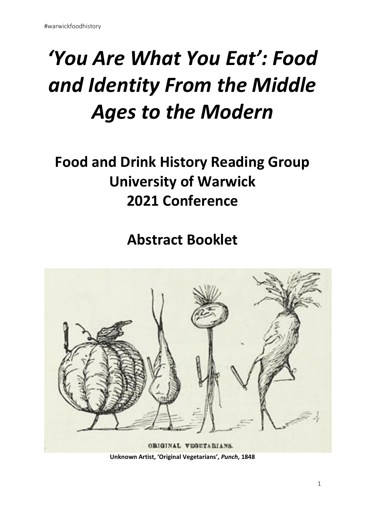# *'You Are What You Eat': Food and Identity From the Middle Ages to the Modern*

## **Food and Drink History Reading Group University of Warwick 2021 Conference**

**Abstract Booklet**



**Unknown Artist, 'Original Vegetarians',** *Punch***, 1848**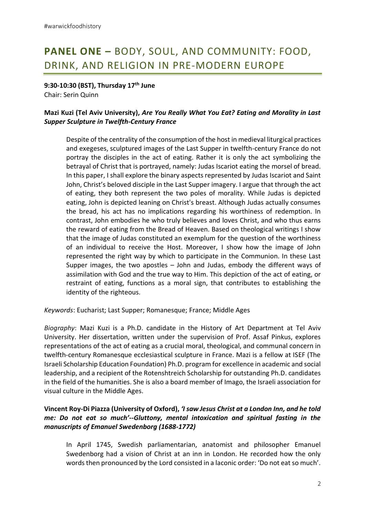### **PANEL ONE –** BODY, SOUL, AND COMMUNITY: FOOD, DRINK, AND RELIGION IN PRE-MODERN EUROPE

**9:30-10:30 (BST), Thursday 17th June**

Chair: Serin Quinn

#### **Mazi Kuzi (Tel Aviv University),** *Are You Really What You Eat? Eating and Morality in Last Supper Sculpture in Twelfth-Century France*

Despite of the centrality of the consumption of the host in medieval liturgical practices and exegeses, sculptured images of the Last Supper in twelfth-century France do not portray the disciples in the act of eating. Rather it is only the act symbolizing the betrayal of Christ that is portrayed, namely: Judas Iscariot eating the morsel of bread. In this paper, I shall explore the binary aspects represented by Judas Iscariot and Saint John, Christ's beloved disciple in the Last Supper imagery. I argue that through the act of eating, they both represent the two poles of morality. While Judas is depicted eating, John is depicted leaning on Christ's breast. Although Judas actually consumes the bread, his act has no implications regarding his worthiness of redemption. In contrast, John embodies he who truly believes and loves Christ, and who thus earns the reward of eating from the Bread of Heaven. Based on theological writings I show that the image of Judas constituted an exemplum for the question of the worthiness of an individual to receive the Host. Moreover, I show how the image of John represented the right way by which to participate in the Communion. In these Last Supper images, the two apostles – John and Judas, embody the different ways of assimilation with God and the true way to Him. This depiction of the act of eating, or restraint of eating, functions as a moral sign, that contributes to establishing the identity of the righteous.

*Keywords*: Eucharist; Last Supper; Romanesque; France; Middle Ages

*Biography*: Mazi Kuzi is a Ph.D. candidate in the History of Art Department at Tel Aviv University. Her dissertation, written under the supervision of Prof. Assaf Pinkus, explores representations of the act of eating as a crucial moral, theological, and communal concern in twelfth-century Romanesque ecclesiastical sculpture in France. Mazi is a fellow at ISEF (The Israeli Scholarship Education Foundation) Ph.D. program for excellence in academic and social leadership, and a recipient of the Rotenshtreich Scholarship for outstanding Ph.D. candidates in the field of the humanities. She is also a board member of Imago, the Israeli association for visual culture in the Middle Ages.

#### **Vincent Roy-Di Piazza (University of Oxford),** *'I saw Jesus Christ at a London Inn, and he told me: Do not eat so much'--Gluttony, mental intoxication and spiritual fasting in the manuscripts of Emanuel Swedenborg (1688-1772)*

In April 1745, Swedish parliamentarian, anatomist and philosopher Emanuel Swedenborg had a vision of Christ at an inn in London. He recorded how the only words then pronounced by the Lord consisted in a laconic order: 'Do not eat so much'.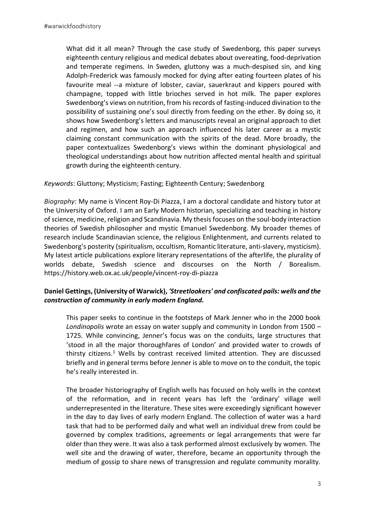What did it all mean? Through the case study of Swedenborg, this paper surveys eighteenth century religious and medical debates about overeating, food-deprivation and temperate regimens. In Sweden, gluttony was a much-despised sin, and king Adolph-Frederick was famously mocked for dying after eating fourteen plates of his favourite meal --a mixture of lobster, caviar, sauerkraut and kippers poured with champagne, topped with little brioches served in hot milk. The paper explores Swedenborg's views on nutrition, from his records of fasting-induced divination to the possibility of sustaining one's soul directly from feeding on the ether. By doing so, it shows how Swedenborg's letters and manuscripts reveal an original approach to diet and regimen, and how such an approach influenced his later career as a mystic claiming constant communication with the spirits of the dead. More broadly, the paper contextualizes Swedenborg's views within the dominant physiological and theological understandings about how nutrition affected mental health and spiritual growth during the eighteenth century.

#### *Keywords*: Gluttony; Mysticism; Fasting; Eighteenth Century; Swedenborg

*Biography*: My name is Vincent Roy-Di Piazza, I am a doctoral candidate and history tutor at the University of Oxford. I am an Early Modern historian, specializing and teaching in history of science, medicine, religion and Scandinavia. My thesis focuses on the soul-body interaction theories of Swedish philosopher and mystic Emanuel Swedenborg. My broader themes of research include Scandinavian science, the religious Enlightenment, and currents related to Swedenborg's posterity (spiritualism, occultism, Romantic literature, anti-slavery, mysticism). My latest article publications explore literary representations of the afterlife, the plurality of worlds debate, Swedish science and discourses on the North / Borealism. https://history.web.ox.ac.uk/people/vincent-roy-di-piazza

#### **Daniel Gettings, (University of Warwick),** *'Streetlookers' and confiscated pails: wells and the construction of community in early modern England.*

This paper seeks to continue in the footsteps of Mark Jenner who in the 2000 book *Londinopolis* wrote an essay on water supply and community in London from 1500 – 1725. While convincing, Jenner's focus was on the conduits, large structures that 'stood in all the major thoroughfares of London' and provided water to crowds of thirsty citizens.<sup>1</sup> Wells by contrast received limited attention. They are discussed briefly and in general terms before Jenner is able to move on to the conduit, the topic he's really interested in.

The broader historiography of English wells has focused on holy wells in the context of the reformation, and in recent years has left the 'ordinary' village well underrepresented in the literature. These sites were exceedingly significant however in the day to day lives of early modern England. The collection of water was a hard task that had to be performed daily and what well an individual drew from could be governed by complex traditions, agreements or legal arrangements that were far older than they were. It was also a task performed almost exclusively by women. The well site and the drawing of water, therefore, became an opportunity through the medium of gossip to share news of transgression and regulate community morality.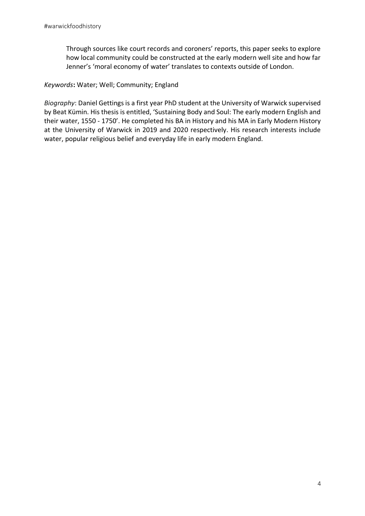Through sources like court records and coroners' reports, this paper seeks to explore how local community could be constructed at the early modern well site and how far Jenner's 'moral economy of water' translates to contexts outside of London.

*Keywords***:** Water; Well; Community; England

*Biography*: Daniel Gettings is a first year PhD student at the University of Warwick supervised by Beat Kümin. His thesis is entitled, 'Sustaining Body and Soul: The early modern English and their water, 1550 - 1750'. He completed his BA in History and his MA in Early Modern History at the University of Warwick in 2019 and 2020 respectively. His research interests include water, popular religious belief and everyday life in early modern England.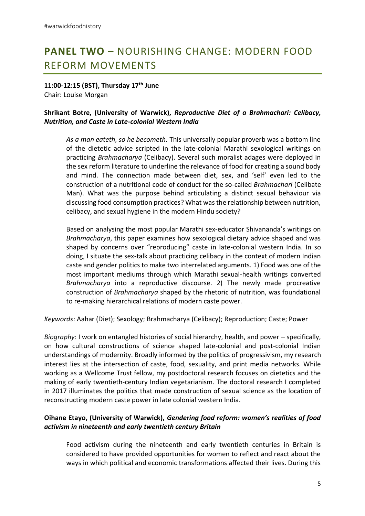### **PANEL TWO –** NOURISHING CHANGE: MODERN FOOD REFORM MOVEMENTS

**11:00-12:15 (BST), Thursday 17th June** Chair: Louise Morgan

#### **Shrikant Botre, (University of Warwick),** *Reproductive Diet of a Brahmachari: Celibacy, Nutrition, and Caste in Late-colonial Western India*

*As a man eateth, so he becometh.* This universally popular proverb was a bottom line of the dietetic advice scripted in the late-colonial Marathi sexological writings on practicing *Brahmacharya* (Celibacy). Several such moralist adages were deployed in the sex reform literature to underline the relevance of food for creating a sound body and mind. The connection made between diet, sex, and 'self' even led to the construction of a nutritional code of conduct for the so-called *Brahmachari* (Celibate Man). What was the purpose behind articulating a distinct sexual behaviour via discussing food consumption practices? What was the relationship between nutrition, celibacy, and sexual hygiene in the modern Hindu society?

Based on analysing the most popular Marathi sex-educator Shivananda's writings on *Brahmacharya*, this paper examines how sexological dietary advice shaped and was shaped by concerns over "reproducing" caste in late-colonial western India. In so doing, I situate the sex-talk about practicing celibacy in the context of modern Indian caste and gender politics to make two interrelated arguments. 1) Food was one of the most important mediums through which Marathi sexual-health writings converted *Brahmacharya* into a reproductive discourse. 2) The newly made procreative construction of *Brahmacharya* shaped by the rhetoric of nutrition, was foundational to re-making hierarchical relations of modern caste power.

*Keywords*: Aahar (Diet); Sexology; Brahmacharya (Celibacy); Reproduction; Caste; Power

*Biography*: I work on entangled histories of social hierarchy, health, and power – specifically, on how cultural constructions of science shaped late-colonial and post-colonial Indian understandings of modernity. Broadly informed by the politics of progressivism, my research interest lies at the intersection of caste, food, sexuality, and print media networks. While working as a Wellcome Trust fellow, my postdoctoral research focuses on dietetics and the making of early twentieth-century Indian vegetarianism. The doctoral research I completed in 2017 illuminates the politics that made construction of sexual science as the location of reconstructing modern caste power in late colonial western India.

#### **Oihane Etayo, (University of Warwick),** *Gendering food reform: women's realities of food activism in nineteenth and early twentieth century Britain*

Food activism during the nineteenth and early twentieth centuries in Britain is considered to have provided opportunities for women to reflect and react about the ways in which political and economic transformations affected their lives. During this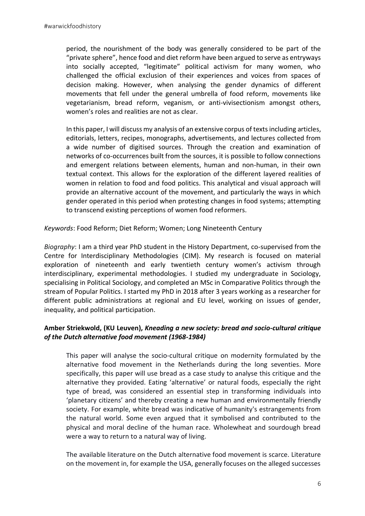period, the nourishment of the body was generally considered to be part of the "private sphere", hence food and diet reform have been argued to serve as entryways into socially accepted, "legitimate" political activism for many women, who challenged the official exclusion of their experiences and voices from spaces of decision making. However, when analysing the gender dynamics of different movements that fell under the general umbrella of food reform, movements like vegetarianism, bread reform, veganism, or anti-vivisectionism amongst others, women's roles and realities are not as clear.

In this paper, I will discuss my analysis of an extensive corpus of texts including articles, editorials, letters, recipes, monographs, advertisements, and lectures collected from a wide number of digitised sources. Through the creation and examination of networks of co-occurrences built from the sources, it is possible to follow connections and emergent relations between elements, human and non-human, in their own textual context. This allows for the exploration of the different layered realities of women in relation to food and food politics. This analytical and visual approach will provide an alternative account of the movement, and particularly the ways in which gender operated in this period when protesting changes in food systems; attempting to transcend existing perceptions of women food reformers.

*Keywords*: Food Reform; Diet Reform; Women; Long Nineteenth Century

*Biography*: I am a third year PhD student in the History Department, co-supervised from the Centre for Interdisciplinary Methodologies (CIM). My research is focused on material exploration of nineteenth and early twentieth century women's activism through interdisciplinary, experimental methodologies. I studied my undergraduate in Sociology, specialising in Political Sociology, and completed an MSc in Comparative Politics through the stream of Popular Politics. I started my PhD in 2018 after 3 years working as a researcher for different public administrations at regional and EU level, working on issues of gender, inequality, and political participation.

#### **Amber Striekwold, (KU Leuven),** *Kneading a new society: bread and socio-cultural critique of the Dutch alternative food movement (1968-1984)*

This paper will analyse the socio-cultural critique on modernity formulated by the alternative food movement in the Netherlands during the long seventies. More specifically, this paper will use bread as a case study to analyse this critique and the alternative they provided. Eating 'alternative' or natural foods, especially the right type of bread, was considered an essential step in transforming individuals into 'planetary citizens' and thereby creating a new human and environmentally friendly society. For example, white bread was indicative of humanity's estrangements from the natural world. Some even argued that it symbolised and contributed to the physical and moral decline of the human race. Wholewheat and sourdough bread were a way to return to a natural way of living.

The available literature on the Dutch alternative food movement is scarce. Literature on the movement in, for example the USA, generally focuses on the alleged successes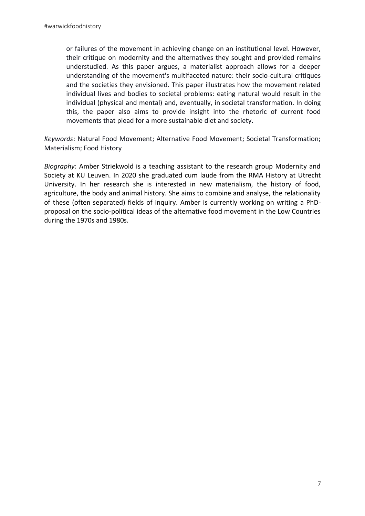or failures of the movement in achieving change on an institutional level. However, their critique on modernity and the alternatives they sought and provided remains understudied. As this paper argues, a materialist approach allows for a deeper understanding of the movement's multifaceted nature: their socio-cultural critiques and the societies they envisioned. This paper illustrates how the movement related individual lives and bodies to societal problems: eating natural would result in the individual (physical and mental) and, eventually, in societal transformation. In doing this, the paper also aims to provide insight into the rhetoric of current food movements that plead for a more sustainable diet and society.

*Keywords*: Natural Food Movement; Alternative Food Movement; Societal Transformation; Materialism; Food History

*Biography*: Amber Striekwold is a teaching assistant to the research group Modernity and Society at KU Leuven. In 2020 she graduated cum laude from the RMA History at Utrecht University. In her research she is interested in new materialism, the history of food, agriculture, the body and animal history. She aims to combine and analyse, the relationality of these (often separated) fields of inquiry. Amber is currently working on writing a PhDproposal on the socio-political ideas of the alternative food movement in the Low Countries during the 1970s and 1980s.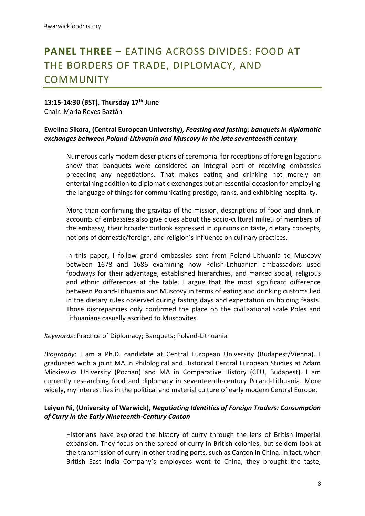### **PANEL THREE –** EATING ACROSS DIVIDES: FOOD AT THE BORDERS OF TRADE, DIPLOMACY, AND COMMUNITY

#### **13:15-14:30 (BST), Thursday 17th June**

Chair: Maria Reyes Baztán

#### **Ewelina Sikora, (Central European University),** *Feasting and fasting: banquets in diplomatic exchanges between Poland-Lithuania and Muscovy in the late seventeenth century*

Numerous early modern descriptions of ceremonial for receptions of foreign legations show that banquets were considered an integral part of receiving embassies preceding any negotiations. That makes eating and drinking not merely an entertaining addition to diplomatic exchanges but an essential occasion for employing the language of things for communicating prestige, ranks, and exhibiting hospitality.

More than confirming the gravitas of the mission, descriptions of food and drink in accounts of embassies also give clues about the socio-cultural milieu of members of the embassy, their broader outlook expressed in opinions on taste, dietary concepts, notions of domestic/foreign, and religion's influence on culinary practices.

In this paper, I follow grand embassies sent from Poland-Lithuania to Muscovy between 1678 and 1686 examining how Polish-Lithuanian ambassadors used foodways for their advantage, established hierarchies, and marked social, religious and ethnic differences at the table. I argue that the most significant difference between Poland-Lithuania and Muscovy in terms of eating and drinking customs lied in the dietary rules observed during fasting days and expectation on holding feasts. Those discrepancies only confirmed the place on the civilizational scale Poles and Lithuanians casually ascribed to Muscovites.

*Keywords*: Practice of Diplomacy; Banquets; Poland-Lithuania

*Biography*: I am a Ph.D. candidate at Central European University (Budapest/Vienna). I graduated with a joint MA in Philological and Historical Central European Studies at Adam Mickiewicz University (Poznań) and MA in Comparative History (CEU, Budapest). I am currently researching food and diplomacy in seventeenth-century Poland-Lithuania. More widely, my interest lies in the political and material culture of early modern Central Europe.

#### **Leiyun Ni, (University of Warwick),** *Negotiating Identities of Foreign Traders: Consumption of Curry in the Early Nineteenth-Century Canton*

Historians have explored the history of curry through the lens of British imperial expansion. They focus on the spread of curry in British colonies, but seldom look at the transmission of curry in other trading ports, such as Canton in China. In fact, when British East India Company's employees went to China, they brought the taste,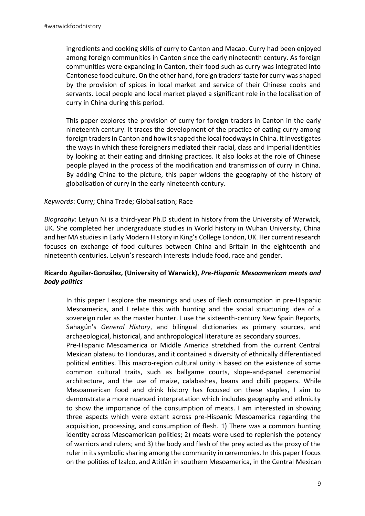ingredients and cooking skills of curry to Canton and Macao. Curry had been enjoyed among foreign communities in Canton since the early nineteenth century. As foreign communities were expanding in Canton, their food such as curry was integrated into Cantonese food culture. On the other hand, foreign traders' taste for curry was shaped by the provision of spices in local market and service of their Chinese cooks and servants. Local people and local market played a significant role in the localisation of curry in China during this period.

This paper explores the provision of curry for foreign traders in Canton in the early nineteenth century. It traces the development of the practice of eating curry among foreign traders in Canton and how it shaped the local foodways in China. It investigates the ways in which these foreigners mediated their racial, class and imperial identities by looking at their eating and drinking practices. It also looks at the role of Chinese people played in the process of the modification and transmission of curry in China. By adding China to the picture, this paper widens the geography of the history of globalisation of curry in the early nineteenth century.

#### *Keywords*: Curry; China Trade; Globalisation; Race

*Biography*: Leiyun Ni is a third-year Ph.D student in history from the University of Warwick, UK. She completed her undergraduate studies in World history in Wuhan University, China and her MA studies in Early Modern History in King's College London, UK. Her current research focuses on exchange of food cultures between China and Britain in the eighteenth and nineteenth centuries. Leiyun's research interests include food, race and gender.

#### **Ricardo Aguilar-González, (University of Warwick),** *Pre-Hispanic Mesoamerican meats and body politics*

In this paper I explore the meanings and uses of flesh consumption in pre-Hispanic Mesoamerica, and I relate this with hunting and the social structuring idea of a sovereign ruler as the master hunter. I use the sixteenth-century New Spain Reports, Sahagún's *General History*, and bilingual dictionaries as primary sources, and archaeological, historical, and anthropological literature as secondary sources.

Pre-Hispanic Mesoamerica or Middle America stretched from the current Central Mexican plateau to Honduras, and it contained a diversity of ethnically differentiated political entities. This macro-region cultural unity is based on the existence of some common cultural traits, such as ballgame courts, slope-and-panel ceremonial architecture, and the use of maize, calabashes, beans and chilli peppers. While Mesoamerican food and drink history has focused on these staples, I aim to demonstrate a more nuanced interpretation which includes geography and ethnicity to show the importance of the consumption of meats. I am interested in showing three aspects which were extant across pre-Hispanic Mesoamerica regarding the acquisition, processing, and consumption of flesh. 1) There was a common hunting identity across Mesoamerican polities; 2) meats were used to replenish the potency of warriors and rulers; and 3) the body and flesh of the prey acted as the proxy of the ruler in its symbolic sharing among the community in ceremonies. In this paper I focus on the polities of Izalco, and Atitlán in southern Mesoamerica, in the Central Mexican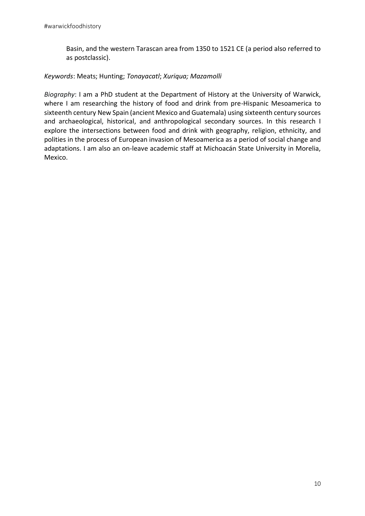Basin, and the western Tarascan area from 1350 to 1521 CE (a period also referred to as postclassic).

#### *Keywords*: Meats; Hunting; *Tonayacatl*; *Xuriqua; Mazamolli*

*Biography*: I am a PhD student at the Department of History at the University of Warwick, where I am researching the history of food and drink from pre-Hispanic Mesoamerica to sixteenth century New Spain (ancient Mexico and Guatemala) using sixteenth century sources and archaeological, historical, and anthropological secondary sources. In this research I explore the intersections between food and drink with geography, religion, ethnicity, and polities in the process of European invasion of Mesoamerica as a period of social change and adaptations. I am also an on-leave academic staff at Michoacán State University in Morelia, Mexico.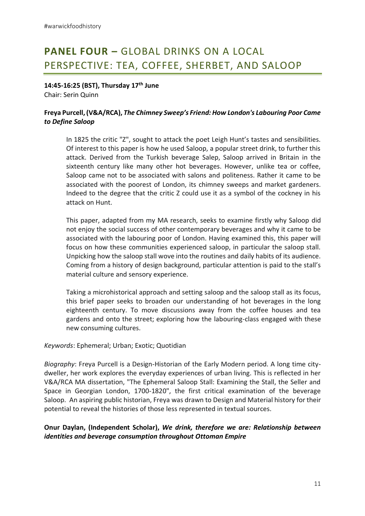### **PANEL FOUR –** GLOBAL DRINKS ON A LOCAL PERSPECTIVE: TEA, COFFEE, SHERBET, AND SALOOP

**14:45-16:25 (BST), Thursday 17th June** Chair: Serin Quinn

#### **Freya Purcell, (V&A/RCA),** *The Chimney Sweep's Friend: How London's Labouring Poor Came to Define Saloop*

In 1825 the critic "Z", sought to attack the poet Leigh Hunt's tastes and sensibilities. Of interest to this paper is how he used Saloop, a popular street drink, to further this attack. Derived from the Turkish beverage Salep, Saloop arrived in Britain in the sixteenth century like many other hot beverages. However, unlike tea or coffee, Saloop came not to be associated with salons and politeness. Rather it came to be associated with the poorest of London, its chimney sweeps and market gardeners. Indeed to the degree that the critic Z could use it as a symbol of the cockney in his attack on Hunt.

This paper, adapted from my MA research, seeks to examine firstly why Saloop did not enjoy the social success of other contemporary beverages and why it came to be associated with the labouring poor of London. Having examined this, this paper will focus on how these communities experienced saloop, in particular the saloop stall. Unpicking how the saloop stall wove into the routines and daily habits of its audience. Coming from a history of design background, particular attention is paid to the stall's material culture and sensory experience.

Taking a microhistorical approach and setting saloop and the saloop stall as its focus, this brief paper seeks to broaden our understanding of hot beverages in the long eighteenth century. To move discussions away from the coffee houses and tea gardens and onto the street; exploring how the labouring-class engaged with these new consuming cultures.

#### *Keywords*: Ephemeral; Urban; Exotic; Quotidian

*Biography*: Freya Purcell is a Design-Historian of the Early Modern period. A long time citydweller, her work explores the everyday experiences of urban living. This is reflected in her V&A/RCA MA dissertation, "The Ephemeral Saloop Stall: Examining the Stall, the Seller and Space in Georgian London, 1700-1820", the first critical examination of the beverage Saloop. An aspiring public historian, Freya was drawn to Design and Material history for their potential to reveal the histories of those less represented in textual sources.

#### **Onur Daylan, (Independent Scholar),** *We drink, therefore we are: Relationship between identities and beverage consumption throughout Ottoman Empire*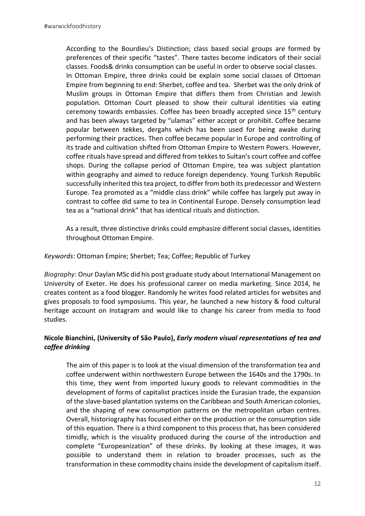According to the Bourdieu's Distinction; class based social groups are formed by preferences of their specific "tastes". There tastes become indicators of their social classes. Foods& drinks consumption can be useful in order to observe social classes. In Ottoman Empire, three drinks could be explain some social classes of Ottoman Empire from beginning to end: Sherbet, coffee and tea. Sherbet was the only drink of Muslim groups in Ottoman Empire that differs them from Christian and Jewish population. Ottoman Court pleased to show their cultural identities via eating ceremony towards embassies. Coffee has been broadly accepted since 15th century and has been always targeted by "ulamas" either accept or prohibit. Coffee became popular between tekkes, dergahs which has been used for being awake during performing their practices. Then coffee became popular in Europe and controlling of its trade and cultivation shifted from Ottoman Empire to Western Powers. However, coffee rituals have spread and differed from tekkes to Sultan's court coffee and coffee shops. During the collapse period of Ottoman Empire, tea was subject plantation within geography and aimed to reduce foreign dependency. Young Turkish Republic successfully inherited this tea project, to differ from both its predecessor and Western Europe. Tea promoted as a "middle class drink" while coffee has largely put away in contrast to coffee did same to tea in Continental Europe. Densely consumption lead tea as a "national drink" that has identical rituals and distinction.

As a result, three distinctive drinks could emphasize different social classes, identities throughout Ottoman Empire.

#### *Keywords*: Ottoman Empire; Sherbet; Tea; Coffee; Republic of Turkey

*Biography*: Onur Daylan MSc did his post graduate study about International Management on University of Exeter. He does his professional career on media marketing. Since 2014, he creates content as a food blogger. Randomly he writes food related articles for websites and gives proposals to food symposiums. This year, he launched a new history & food cultural heritage account on Instagram and would like to change his career from media to food studies.

#### **Nicole Bianchini, (University of São Paulo),** *Early modern visual representations of tea and coffee drinking*

The aim of this paper is to look at the visual dimension of the transformation tea and coffee underwent within northwestern Europe between the 1640s and the 1790s. In this time, they went from imported luxury goods to relevant commodities in the development of forms of capitalist practices inside the Eurasian trade, the expansion of the slave-based plantation systems on the Caribbean and South American colonies, and the shaping of new consumption patterns on the metropolitan urban centres. Overall, historiography has focused either on the production or the consumption side of this equation. There is a third component to this process that, has been considered timidly, which is the visuality produced during the course of the introduction and complete "Europeanization" of these drinks. By looking at these images, it was possible to understand them in relation to broader processes, such as the transformation in these commodity chains inside the development of capitalism itself.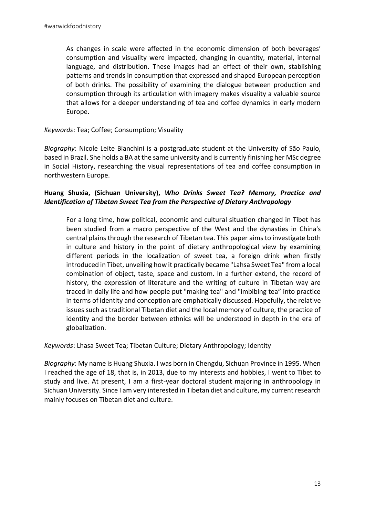As changes in scale were affected in the economic dimension of both beverages' consumption and visuality were impacted, changing in quantity, material, internal language, and distribution. These images had an effect of their own, stablishing patterns and trends in consumption that expressed and shaped European perception of both drinks. The possibility of examining the dialogue between production and consumption through its articulation with imagery makes visuality a valuable source that allows for a deeper understanding of tea and coffee dynamics in early modern Europe.

#### *Keywords*: Tea; Coffee; Consumption; Visuality

*Biography*: Nicole Leite Bianchini is a postgraduate student at the University of São Paulo, based in Brazil. She holds a BA at the same university and is currently finishing her MSc degree in Social History, researching the visual representations of tea and coffee consumption in northwestern Europe.

#### **Huang Shuxia, (Sichuan University),** *Who Drinks Sweet Tea? Memory, Practice and Identification of Tibetan Sweet Tea from the Perspective of Dietary Anthropology*

For a long time, how political, economic and cultural situation changed in Tibet has been studied from a macro perspective of the West and the dynasties in China's central plains through the research of Tibetan tea. This paper aims to investigate both in culture and history in the point of dietary anthropological view by examining different periods in the localization of sweet tea, a foreign drink when firstly introduced in Tibet, unveiling how it practically became "Lahsa Sweet Tea" from a local combination of object, taste, space and custom. In a further extend, the record of history, the expression of literature and the writing of culture in Tibetan way are traced in daily life and how people put "making tea" and "imbibing tea" into practice in terms of identity and conception are emphatically discussed. Hopefully, the relative issues such as traditional Tibetan diet and the local memory of culture, the practice of identity and the border between ethnics will be understood in depth in the era of globalization.

*Keywords*: Lhasa Sweet Tea; Tibetan Culture; Dietary Anthropology; Identity

*Biography*: My name is Huang Shuxia. I was born in Chengdu, Sichuan Province in 1995. When I reached the age of 18, that is, in 2013, due to my interests and hobbies, I went to Tibet to study and live. At present, I am a first-year doctoral student majoring in anthropology in Sichuan University. Since I am very interested in Tibetan diet and culture, my current research mainly focuses on Tibetan diet and culture.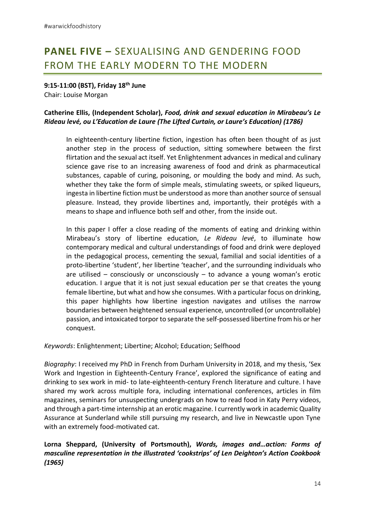### **PANEL FIVE –** SEXUALISING AND GENDERING FOOD FROM THE EARLY MODERN TO THE MODERN

**9:15-11:00 (BST), Friday 18th June** Chair: Louise Morgan

#### **Catherine Ellis, (Independent Scholar),** *Food, drink and sexual education in Mirabeau's Le Rideau levé, ou L'Education de Laure (The Lifted Curtain, or Laure's Education) (1786)*

In eighteenth-century libertine fiction, ingestion has often been thought of as just another step in the process of seduction, sitting somewhere between the first flirtation and the sexual act itself. Yet Enlightenment advances in medical and culinary science gave rise to an increasing awareness of food and drink as pharmaceutical substances, capable of curing, poisoning, or moulding the body and mind. As such, whether they take the form of simple meals, stimulating sweets, or spiked liqueurs, ingesta in libertine fiction must be understood as more than another source of sensual pleasure. Instead, they provide libertines and, importantly, their protégés with a means to shape and influence both self and other, from the inside out.

In this paper I offer a close reading of the moments of eating and drinking within Mirabeau's story of libertine education, *Le Rideau levé*, to illuminate how contemporary medical and cultural understandings of food and drink were deployed in the pedagogical process, cementing the sexual, familial and social identities of a proto-libertine 'student', her libertine 'teacher', and the surrounding individuals who are utilised – consciously or unconsciously – to advance a young woman's erotic education. I argue that it is not just sexual education per se that creates the young female libertine, but what and how she consumes. With a particular focus on drinking, this paper highlights how libertine ingestion navigates and utilises the narrow boundaries between heightened sensual experience, uncontrolled (or uncontrollable) passion, and intoxicated torpor to separate the self-possessed libertine from his or her conquest.

*Keywords*: Enlightenment; Libertine; Alcohol; Education; Selfhood

*Biography*: I received my PhD in French from Durham University in 2018, and my thesis, 'Sex Work and Ingestion in Eighteenth-Century France', explored the significance of eating and drinking to sex work in mid- to late-eighteenth-century French literature and culture. I have shared my work across multiple fora, including international conferences, articles in film magazines, seminars for unsuspecting undergrads on how to read food in Katy Perry videos, and through a part-time internship at an erotic magazine. I currently work in academic Quality Assurance at Sunderland while still pursuing my research, and live in Newcastle upon Tyne with an extremely food-motivated cat.

#### **Lorna Sheppard, (University of Portsmouth),** *Words, images and…action: Forms of masculine representation in the illustrated 'cookstrips' of Len Deighton's Action Cookbook (1965)*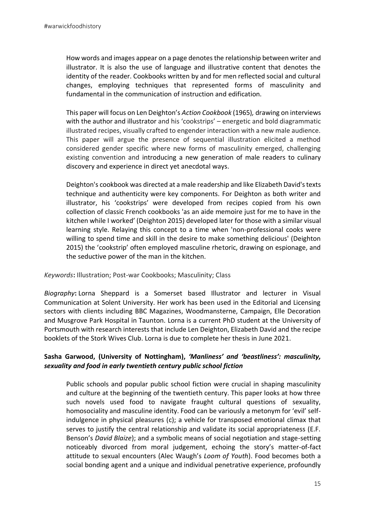How words and images appear on a page denotes the relationship between writer and illustrator. It is also the use of language and illustrative content that denotes the identity of the reader. Cookbooks written by and for men reflected social and cultural changes, employing techniques that represented forms of masculinity and fundamental in the communication of instruction and edification.

This paper will focus on Len Deighton's *Action Cookbook* (1965)*,* drawing on interviews with the author and illustrator and his 'cookstrips' – energetic and bold diagrammatic illustrated recipes, visually crafted to engender interaction with a new male audience. This paper will argue the presence of sequential illustration elicited a method considered gender specific where new forms of masculinity emerged, challenging existing convention and introducing a new generation of male readers to culinary discovery and experience in direct yet anecdotal ways.

Deighton's cookbook was directed at a male readership and like Elizabeth David's texts technique and authenticity were key components. For Deighton as both writer and illustrator, his 'cookstrips' were developed from recipes copied from his own collection of classic French cookbooks 'as an aide memoire just for me to have in the kitchen while I worked' (Deighton 2015) developed later for those with a similar visual learning style. Relaying this concept to a time when 'non-professional cooks were willing to spend time and skill in the desire to make something delicious' (Deighton 2015) the 'cookstrip' often employed masculine rhetoric, drawing on espionage, and the seductive power of the man in the kitchen.

#### *Keywords***:** Illustration; Post-war Cookbooks; Masculinity; Class

*Biography***:** Lorna Sheppard is a Somerset based Illustrator and lecturer in Visual Communication at Solent University. Her work has been used in the Editorial and Licensing sectors with clients including BBC Magazines, Woodmansterne, Campaign, Elle Decoration and Musgrove Park Hospital in Taunton. Lorna is a current PhD student at the University of Portsmouth with research interests that include Len Deighton, Elizabeth David and the recipe booklets of the Stork Wives Club. Lorna is due to complete her thesis in June 2021.

#### **Sasha Garwood, (University of Nottingham),** *'Manliness' and 'beastliness': masculinity, sexuality and food in early twentieth century public school fiction*

Public schools and popular public school fiction were crucial in shaping masculinity and culture at the beginning of the twentieth century. This paper looks at how three such novels used food to navigate fraught cultural questions of sexuality, homosociality and masculine identity. Food can be variously a metonym for 'evil' selfindulgence in physical pleasures (c); a vehicle for transposed emotional climax that serves to justify the central relationship and validate its social appropriateness (E.F. Benson's *David Blaize*); and a symbolic means of social negotiation and stage-setting noticeably divorced from moral judgement, echoing the story's matter-of-fact attitude to sexual encounters (Alec Waugh's *Loom of Youth*). Food becomes both a social bonding agent and a unique and individual penetrative experience, profoundly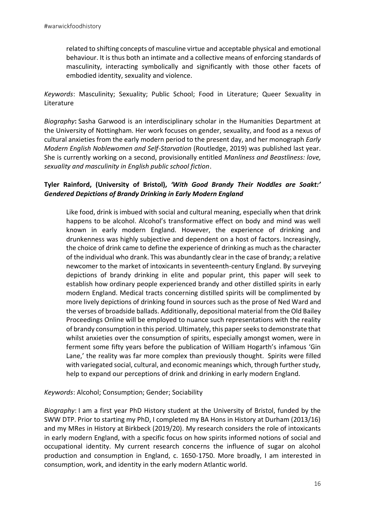related to shifting concepts of masculine virtue and acceptable physical and emotional behaviour. It is thus both an intimate and a collective means of enforcing standards of masculinity, interacting symbolically and significantly with those other facets of embodied identity, sexuality and violence.

*Keywords*: Masculinity; Sexuality; Public School; Food in Literature; Queer Sexuality in Literature

*Biography***:** Sasha Garwood is an interdisciplinary scholar in the Humanities Department at the University of Nottingham. Her work focuses on gender, sexuality, and food as a nexus of cultural anxieties from the early modern period to the present day, and her monograph *Early Modern English Noblewomen and Self-Starvation* (Routledge, 2019) was published last year. She is currently working on a second, provisionally entitled *Manliness and Beastliness: love, sexuality and masculinity in English public school fiction*.

#### **Tyler Rainford, (University of Bristol),** *'With Good Brandy Their Noddles are Soakt:' Gendered Depictions of Brandy Drinking in Early Modern England*

Like food, drink is imbued with social and cultural meaning, especially when that drink happens to be alcohol. Alcohol's transformative effect on body and mind was well known in early modern England. However, the experience of drinking and drunkenness was highly subjective and dependent on a host of factors. Increasingly, the choice of drink came to define the experience of drinking as much as the character of the individual who drank. This was abundantly clear in the case of brandy; a relative newcomer to the market of intoxicants in seventeenth-century England. By surveying depictions of brandy drinking in elite and popular print, this paper will seek to establish how ordinary people experienced brandy and other distilled spirits in early modern England. Medical tracts concerning distilled spirits will be complimented by more lively depictions of drinking found in sources such as the prose of Ned Ward and the verses of broadside ballads. Additionally, depositional material from the Old Bailey Proceedings Online will be employed to nuance such representations with the reality of brandy consumption in this period. Ultimately, this paper seeks to demonstrate that whilst anxieties over the consumption of spirits, especially amongst women, were in ferment some fifty years before the publication of William Hogarth's infamous 'Gin Lane,' the reality was far more complex than previously thought. Spirits were filled with variegated social, cultural, and economic meanings which, through further study, help to expand our perceptions of drink and drinking in early modern England.

*Keywords*: Alcohol; Consumption; Gender; Sociability

*Biography*: I am a first year PhD History student at the University of Bristol, funded by the SWW DTP. Prior to starting my PhD, I completed my BA Hons in History at Durham (2013/16) and my MRes in History at Birkbeck (2019/20). My research considers the role of intoxicants in early modern England, with a specific focus on how spirits informed notions of social and occupational identity. My current research concerns the influence of sugar on alcohol production and consumption in England, c. 1650-1750. More broadly, I am interested in consumption, work, and identity in the early modern Atlantic world.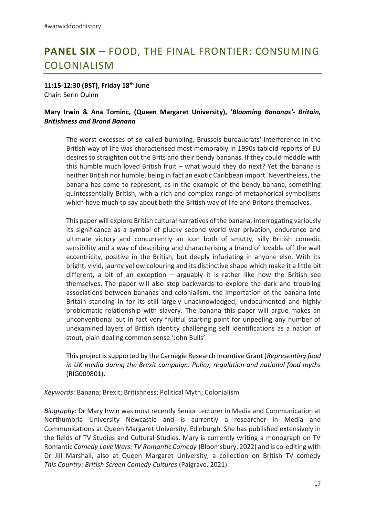### **PANEL SIX –** FOOD, THE FINAL FRONTIER: CONSUMING COLONIALISM

**11:15-12:30 (BST), Friday 18th June** Chair: Serin Quinn

#### **Mary Irwin & Ana Tominc, (Queen Margaret University), '***Blooming Bananas'- Britain, Britishness and Brand Banana*

The worst excesses of so-called bumbling, Brussels bureaucrats' interference in the British way of life was characterised most memorably in 1990s tabloid reports of EU desires to straighten out the Brits and their bendy bananas. If they could meddle with this humble much loved British fruit – what would they do next? Yet the banana is neither British nor humble, being in fact an exotic Caribbean import. Nevertheless, the banana has come to represent, as in the example of the bendy banana, something quintessentially British, with a rich and complex range of metaphorical symbolisms which have much to say about both the British way of life and Britons themselves.

This paper will explore British cultural narratives of the banana, interrogating variously its significance as a symbol of plucky second world war privation, endurance and ultimate victory and concurrently an icon both of smutty, silly British comedic sensibility and a way of describing and characterising a brand of lovable off the wall eccentricity, positive in the British, but deeply infuriating in anyone else. With its bright, vivid, jaunty yellow colouring and its distinctive shape which make it a little bit different, a bit of an exception  $-$  arguably it is rather like how the British see themselves. The paper will also step backwards to explore the dark and troubling associations between bananas and colonialism, the importation of the banana into Britain standing in for its still largely unacknowledged, undocumented and highly problematic relationship with slavery. The banana this paper will argue makes an unconventional but in fact very fruitful starting point for unpeeling any number of unexamined layers of British identity challenging self identifications as a nation of stout, plain dealing common sense 'John Bulls'.

This project is supported by the Carnegie Research Incentive Grant (*Representing food in UK media during the Brexit campaign: Policy, regulation and national food myths* (RIG009801).

*Keywords*: Banana; Brexit; Britishness; Political Myth; Colonialism

*Biography*: Dr Mary Irwin was most recently Senior Lecturer in Media and Communication at Northumbria University Newcastle and is currently a researcher in Media and Communications at Queen Margaret University, Edinburgh. She has published extensively in the fields of TV Studies and Cultural Studies. Mary is currently writing a monograph on TV Romantic *Comedy Love Wars: TV Romantic Comedy* (Bloomsbury, 2022) and is co-editing with Dr Jill Marshall, also at Queen Margaret University, a collection on British TV comedy *This Country: British Screen Comedy Cultures* (Palgrave, 2021).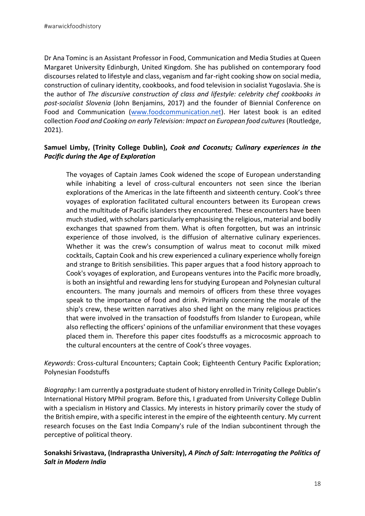Dr Ana Tominc is an Assistant Professor in Food, Communication and Media Studies at Queen Margaret University Edinburgh, United Kingdom. She has published on contemporary food discourses related to lifestyle and class, veganism and far-right cooking show on social media, construction of culinary identity, cookbooks, and food television in socialist Yugoslavia. She is the author of *The discursive construction of class and lifestyle: celebrity chef cookbooks in post-socialist Slovenia* (John Benjamins, 2017) and the founder of Biennial Conference on Food and Communication (www.foodcommunication.net). Her latest book is an edited collection *Food and Cooking on early Television: Impact on European food cultures* (Routledge, 2021).

#### **Samuel Limby, (Trinity College Dublin),** *Cook and Coconuts; Culinary experiences in the Pacific during the Age of Exploration*

The voyages of Captain James Cook widened the scope of European understanding while inhabiting a level of cross-cultural encounters not seen since the Iberian explorations of the Americas in the late fifteenth and sixteenth century. Cook's three voyages of exploration facilitated cultural encounters between its European crews and the multitude of Pacific islanders they encountered. These encounters have been much studied, with scholars particularly emphasising the religious, material and bodily exchanges that spawned from them. What is often forgotten, but was an intrinsic experience of those involved, is the diffusion of alternative culinary experiences. Whether it was the crew's consumption of walrus meat to coconut milk mixed cocktails, Captain Cook and his crew experienced a culinary experience wholly foreign and strange to British sensibilities. This paper argues that a food history approach to Cook's voyages of exploration, and Europeans ventures into the Pacific more broadly, is both an insightful and rewarding lens for studying European and Polynesian cultural encounters. The many journals and memoirs of officers from these three voyages speak to the importance of food and drink. Primarily concerning the morale of the ship's crew, these written narratives also shed light on the many religious practices that were involved in the transaction of foodstuffs from Islander to European, while also reflecting the officers' opinions of the unfamiliar environment that these voyages placed them in. Therefore this paper cites foodstuffs as a microcosmic approach to the cultural encounters at the centre of Cook's three voyages.

*Keywords*: Cross-cultural Encounters; Captain Cook; Eighteenth Century Pacific Exploration; Polynesian Foodstuffs

*Biography*: I am currently a postgraduate student of history enrolled in Trinity College Dublin's International History MPhil program. Before this, I graduated from University College Dublin with a specialism in History and Classics. My interests in history primarily cover the study of the British empire, with a specific interest in the empire of the eighteenth century. My current research focuses on the East India Company's rule of the Indian subcontinent through the perceptive of political theory.

#### **Sonakshi Srivastava, (Indraprastha University),** *A Pinch of Salt: Interrogating the Politics of Salt in Modern India*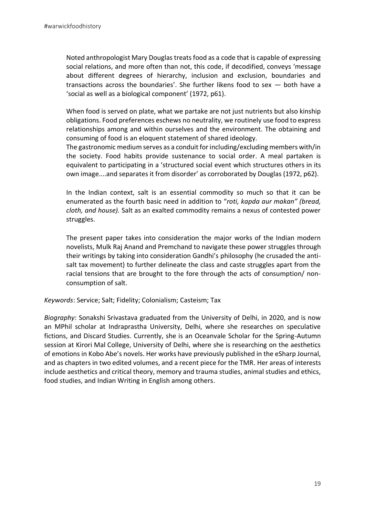Noted anthropologist Mary Douglas treats food as a code that is capable of expressing social relations, and more often than not, this code, if decodified, conveys 'message about different degrees of hierarchy, inclusion and exclusion, boundaries and transactions across the boundaries'. She further likens food to sex — both have a 'social as well as a biological component' (1972, p61).

When food is served on plate, what we partake are not just nutrients but also kinship obligations. Food preferences eschews no neutrality, we routinely use food to express relationships among and within ourselves and the environment. The obtaining and consuming of food is an eloquent statement of shared ideology.

The gastronomic medium serves as a conduit for including/excluding members with/in the society. Food habits provide sustenance to social order. A meal partaken is equivalent to participating in a 'structured social event which structures others in its own image....and separates it from disorder' as corroborated by Douglas (1972, p62).

In the Indian context, salt is an essential commodity so much so that it can be enumerated as the fourth basic need in addition to "*roti, kapda aur makan" (bread, cloth, and house).* Salt as an exalted commodity remains a nexus of contested power struggles.

The present paper takes into consideration the major works of the Indian modern novelists, Mulk Raj Anand and Premchand to navigate these power struggles through their writings by taking into consideration Gandhi's philosophy (he crusaded the antisalt tax movement) to further delineate the class and caste struggles apart from the racial tensions that are brought to the fore through the acts of consumption/ nonconsumption of salt.

*Keywords*: Service; Salt; Fidelity; Colonialism; Casteism; Tax

*Biography*: Sonakshi Srivastava graduated from the University of Delhi, in 2020, and is now an MPhil scholar at Indraprastha University, Delhi, where she researches on speculative fictions, and Discard Studies. Currently, she is an Oceanvale Scholar for the Spring-Autumn session at Kirori Mal College, University of Delhi, where she is researching on the aesthetics of emotions in Kobo Abe's novels. Her works have previously published in the eSharp Journal, and as chapters in two edited volumes, and a recent piece for the TMR. Her areas of interests include aesthetics and critical theory, memory and trauma studies, animal studies and ethics, food studies, and Indian Writing in English among others.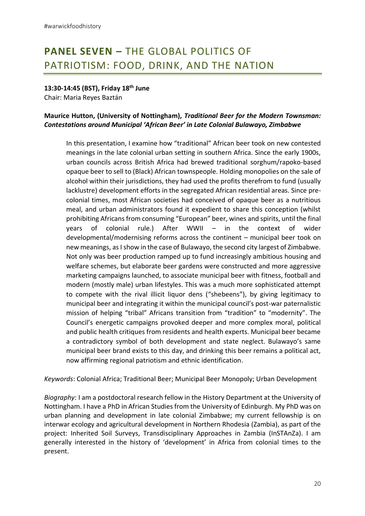### **PANEL SEVEN –** THE GLOBAL POLITICS OF PATRIOTISM: FOOD, DRINK, AND THE NATION

#### **13:30-14:45 (BST), Friday 18th June**

Chair: Maria Reyes Baztán

#### **Maurice Hutton, (University of Nottingham),** *Traditional Beer for the Modern Townsman: Contestations around Municipal 'African Beer' in Late Colonial Bulawayo, Zimbabwe*

In this presentation, I examine how "traditional" African beer took on new contested meanings in the late colonial urban setting in southern Africa. Since the early 1900s, urban councils across British Africa had brewed traditional sorghum/rapoko-based opaque beer to sell to (Black) African townspeople. Holding monopolies on the sale of alcohol within their jurisdictions, they had used the profits therefrom to fund (usually lacklustre) development efforts in the segregated African residential areas. Since precolonial times, most African societies had conceived of opaque beer as a nutritious meal, and urban administrators found it expedient to share this conception (whilst prohibiting Africans from consuming "European" beer, wines and spirits, until the final years of colonial rule.) After WWII – in the context of wider developmental/modernising reforms across the continent – municipal beer took on new meanings, as I show in the case of Bulawayo, the second city largest of Zimbabwe. Not only was beer production ramped up to fund increasingly ambitious housing and welfare schemes, but elaborate beer gardens were constructed and more aggressive marketing campaigns launched, to associate municipal beer with fitness, football and modern (mostly male) urban lifestyles. This was a much more sophisticated attempt to compete with the rival illicit liquor dens ("shebeens"), by giving legitimacy to municipal beer and integrating it within the municipal council's post-war paternalistic mission of helping "tribal" Africans transition from "tradition" to "modernity". The Council's energetic campaigns provoked deeper and more complex moral, political and public health critiques from residents and health experts. Municipal beer became a contradictory symbol of both development and state neglect. Bulawayo's same municipal beer brand exists to this day, and drinking this beer remains a political act, now affirming regional patriotism and ethnic identification.

*Keywords*: Colonial Africa; Traditional Beer; Municipal Beer Monopoly; Urban Development

*Biography*: I am a postdoctoral research fellow in the History Department at the University of Nottingham. I have a PhD in African Studies from the University of Edinburgh. My PhD was on urban planning and development in late colonial Zimbabwe; my current fellowship is on interwar ecology and agricultural development in Northern Rhodesia (Zambia), as part of the project: Inherited Soil Surveys, Transdisciplinary Approaches in Zambia (InSTAnZa). I am generally interested in the history of 'development' in Africa from colonial times to the present.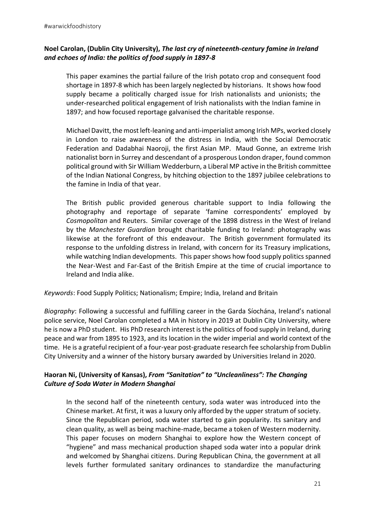#### **Noel Carolan, (Dublin City University),** *The last cry of nineteenth-century famine in Ireland and echoes of India: the politics of food supply in 1897-8*

This paper examines the partial failure of the Irish potato crop and consequent food shortage in 1897-8 which has been largely neglected by historians. It shows how food supply became a politically charged issue for Irish nationalists and unionists; the under-researched political engagement of Irish nationalists with the Indian famine in 1897; and how focused reportage galvanised the charitable response.

Michael Davitt, the most left-leaning and anti-imperialist among Irish MPs, worked closely in London to raise awareness of the distress in India, with the Social Democratic Federation and Dadabhai Naoroji, the first Asian MP. Maud Gonne, an extreme Irish nationalist born in Surrey and descendant of a prosperous London draper, found common political ground with Sir William Wedderburn, a Liberal MP active in the British committee of the Indian National Congress, by hitching objection to the 1897 jubilee celebrations to the famine in India of that year.

The British public provided generous charitable support to India following the photography and reportage of separate 'famine correspondents' employed by *Cosmopolitan* and Reuters. Similar coverage of the 1898 distress in the West of Ireland by the *Manchester Guardian* brought charitable funding to Ireland: photography was likewise at the forefront of this endeavour. The British government formulated its response to the unfolding distress in Ireland, with concern for its Treasury implications, while watching Indian developments. This paper shows how food supply politics spanned the Near-West and Far-East of the British Empire at the time of crucial importance to Ireland and India alike.

*Keywords*: Food Supply Politics; Nationalism; Empire; India, Ireland and Britain

*Biography*: Following a successful and fulfilling career in the Garda Síochána, Ireland's national police service, Noel Carolan completed a MA in history in 2019 at Dublin City University, where he is now a PhD student. His PhD research interest is the politics of food supply in Ireland, during peace and war from 1895 to 1923, and its location in the wider imperial and world context of the time. He is a grateful recipient of a four-year post-graduate research fee scholarship from Dublin City University and a winner of the history bursary awarded by Universities Ireland in 2020.

#### **Haoran Ni, (University of Kansas),** *From "Sanitation" to "Uncleanliness": The Changing Culture of Soda Water in Modern Shanghai*

In the second half of the nineteenth century, soda water was introduced into the Chinese market. At first, it was a luxury only afforded by the upper stratum of society. Since the Republican period, soda water started to gain popularity. Its sanitary and clean quality, as well as being machine-made, became a token of Western modernity. This paper focuses on modern Shanghai to explore how the Western concept of "hygiene" and mass mechanical production shaped soda water into a popular drink and welcomed by Shanghai citizens. During Republican China, the government at all levels further formulated sanitary ordinances to standardize the manufacturing